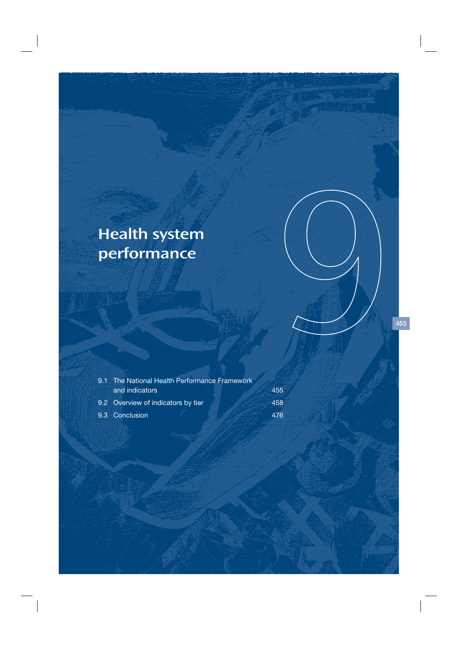# Health system performance

| 9.1 The National Health Performance Framework |     |  |  |  |  |
|-----------------------------------------------|-----|--|--|--|--|
| and indicators                                | 455 |  |  |  |  |
| 9.2 Overview of indicators by tier            | 458 |  |  |  |  |
| 9.3 Conclusion                                | 476 |  |  |  |  |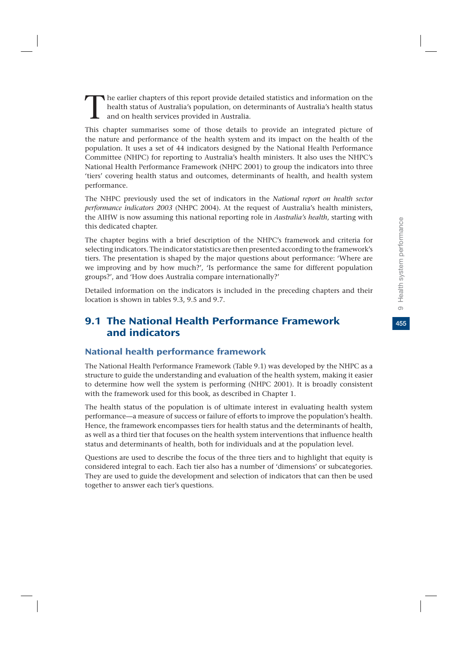The earlier chapters of this report provide detailed statistics and information on the health status of Australia's population, on determinants of Australia's health status and on health services provided in Australia. health status of Australia's population, on determinants of Australia's health status and on health services provided in Australia.

This chapter summarises some of those details to provide an integrated picture of the nature and performance of the health system and its impact on the health of the population. It uses a set of 44 indicators designed by the National Health Performance Committee (NHPC) for reporting to Australia's health ministers. It also uses the NHPC's National Health Performance Framework (NHPC 2001) to group the indicators into three 'tiers' covering health status and outcomes, determinants of health, and health system performance.

The NHPC previously used the set of indicators in the *National report on health sector performance indicators 2003* (NHPC 2004). At the request of Australia's health ministers, the AIHW is now assuming this national reporting role in *Australia's health*, starting with this dedicated chapter.

The chapter begins with a brief description of the NHPC's framework and criteria for selecting indicators. The indicator statistics are then presented according to the framework's tiers. The presentation is shaped by the major questions about performance: 'Where are we improving and by how much?', 'Is performance the same for different population groups?', and 'How does Australia compare internationally?'

Detailed information on the indicators is included in the preceding chapters and their location is shown in tables 9.3, 9.5 and 9.7.

# 9.1 The National Health Performance Framework and indicators

# National health performance framework

The National Health Performance Framework (Table 9.1) was developed by the NHPC as a structure to guide the understanding and evaluation of the health system, making it easier to determine how well the system is performing (NHPC 2001). It is broadly consistent with the framework used for this book*,* as described in Chapter 1.

The health status of the population is of ultimate interest in evaluating health system performance—a measure of success or failure of efforts to improve the population's health. Hence, the framework encompasses tiers for health status and the determinants of health, as well as a third tier that focuses on the health system interventions that influence health status and determinants of health, both for individuals and at the population level.

Questions are used to describe the focus of the three tiers and to highlight that equity is considered integral to each. Each tier also has a number of 'dimensions' or subcategories. They are used to guide the development and selection of indicators that can then be used together to answer each tier's questions.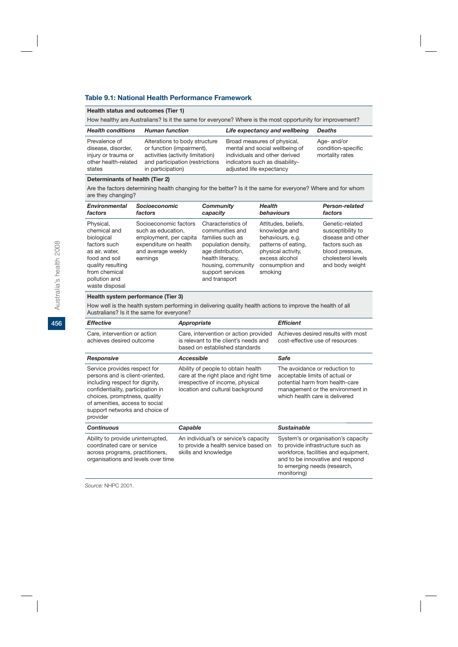### **Table 9.1: National Health Performance Framework**

#### **Health status and outcomes (Tier 1)**

How healthy are Australians? Is it the same for everyone? Where is the most opportunity for improvement?

| <b>Health conditions</b>                                                                     | <b>Human function</b>                                                                                                                                  | Life expectancy and wellbeing                                                                                                                                | <b>Deaths</b>                                        |
|----------------------------------------------------------------------------------------------|--------------------------------------------------------------------------------------------------------------------------------------------------------|--------------------------------------------------------------------------------------------------------------------------------------------------------------|------------------------------------------------------|
| Prevalence of<br>disease, disorder,<br>injury or trauma or<br>other health-related<br>states | Alterations to body structure<br>or function (impairment),<br>activities (activity limitation)<br>and participation (restrictions<br>in participation) | Broad measures of physical,<br>mental and social wellbeing of<br>individuals and other derived<br>indicators such as disability-<br>adjusted life expectancy | Age- and/or<br>condition-specific<br>mortality rates |

#### **Determinants of health (Tier 2)**

Are the factors determining health changing for the better? Is it the same for everyone? Where and for whom are they changing?

| <b>Environmental</b>                                                                                                                                                | <b>Socioeconomic</b>                                                                                                             | <b>Community</b>                                                                                                                                                                     | <b>Health</b>                                                                                                                                         | Person-related                                                                                                                           |
|---------------------------------------------------------------------------------------------------------------------------------------------------------------------|----------------------------------------------------------------------------------------------------------------------------------|--------------------------------------------------------------------------------------------------------------------------------------------------------------------------------------|-------------------------------------------------------------------------------------------------------------------------------------------------------|------------------------------------------------------------------------------------------------------------------------------------------|
| factors                                                                                                                                                             | factors                                                                                                                          | capacity                                                                                                                                                                             | behaviours                                                                                                                                            | factors                                                                                                                                  |
| Physical,<br>chemical and<br>biological<br>factors such<br>as air, water,<br>food and soil<br>quality resulting<br>from chemical<br>pollution and<br>waste disposal | Socioeconomic factors<br>such as education.<br>employment, per capita<br>expenditure on health<br>and average weekly<br>earnings | Characteristics of<br>communities and<br>families such as<br>population density,<br>age distribution,<br>health literacy,<br>housing, community<br>support services<br>and transport | Attitudes, beliefs,<br>knowledge and<br>behaviours, e.g.<br>patterns of eating,<br>physical activity.<br>excess alcohol<br>consumption and<br>smoking | Genetic-related<br>susceptibility to<br>disease and other<br>factors such as<br>blood pressure,<br>cholesterol levels<br>and body weight |

#### **Health system performance (Tier 3)**

How well is the health system performing in delivering quality health actions to improve the health of all Australians? Is it the same for everyone?

| <b>Effective</b>                                                                                                                                                                                                                                       | Appropriate                                                                                                                                          | <b>Efficient</b>                                                                                                                                                                                    |
|--------------------------------------------------------------------------------------------------------------------------------------------------------------------------------------------------------------------------------------------------------|------------------------------------------------------------------------------------------------------------------------------------------------------|-----------------------------------------------------------------------------------------------------------------------------------------------------------------------------------------------------|
| Care, intervention or action<br>achieves desired outcome                                                                                                                                                                                               | Care, intervention or action provided<br>is relevant to the client's needs and<br>based on established standards                                     | Achieves desired results with most<br>cost-effective use of resources                                                                                                                               |
| Responsive                                                                                                                                                                                                                                             | Accessible                                                                                                                                           | Safe                                                                                                                                                                                                |
| Service provides respect for<br>persons and is client-oriented,<br>including respect for dignity,<br>confidentiality, participation in<br>choices, promptness, quality<br>of amenities, access to social<br>support networks and choice of<br>provider | Ability of people to obtain health<br>care at the right place and right time<br>irrespective of income, physical<br>location and cultural background | The avoidance or reduction to<br>acceptable limits of actual or<br>potential harm from health-care<br>management or the environment in<br>which health care is delivered                            |
| <b>Continuous</b>                                                                                                                                                                                                                                      | Capable                                                                                                                                              | <b>Sustainable</b>                                                                                                                                                                                  |
| Ability to provide uninterrupted,<br>coordinated care or service<br>across programs, practitioners,<br>organisations and levels over time                                                                                                              | An individual's or service's capacity<br>to provide a health service based on<br>skills and knowledge                                                | System's or organisation's capacity<br>to provide infrastructure such as<br>workforce, facilities and equipment,<br>and to be innovative and respond<br>to emerging needs (research,<br>monitoring) |

*Source:* NHPC 2001.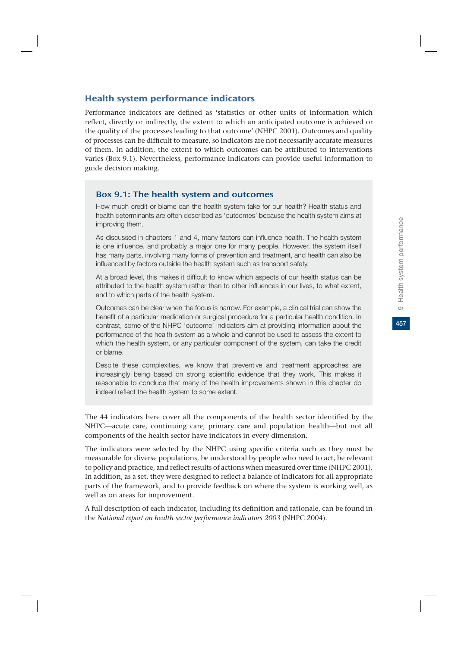### Health system performance indicators

Performance indicators are defined as 'statistics or other units of information which reflect, directly or indirectly, the extent to which an anticipated outcome is achieved or the quality of the processes leading to that outcome' (NHPC 2001). Outcomes and quality of processes can be difficult to measure, so indicators are not necessarily accurate measures of them. In addition, the extent to which outcomes can be attributed to interventions varies (Box 9.1). Nevertheless, performance indicators can provide useful information to guide decision making.

### Box 9.1: The health system and outcomes

How much credit or blame can the health system take for our health? Health status and health determinants are often described as 'outcomes' because the health system aims at improving them.

As discussed in chapters 1 and 4, many factors can influence health. The health system is one influence, and probably a major one for many people. However, the system itself has many parts, involving many forms of prevention and treatment, and health can also be influenced by factors outside the health system such as transport safety.

At a broad level, this makes it difficult to know which aspects of our health status can be attributed to the health system rather than to other influences in our lives, to what extent, and to which parts of the health system.

Outcomes can be clear when the focus is narrow. For example, a clinical trial can show the benefit of a particular medication or surgical procedure for a particular health condition. In contrast, some of the NHPC 'outcome' indicators aim at providing information about the performance of the health system as a whole and cannot be used to assess the extent to which the health system, or any particular component of the system, can take the credit or blame.

Despite these complexities, we know that preventive and treatment approaches are increasingly being based on strong scientific evidence that they work. This makes it reasonable to conclude that many of the health improvements shown in this chapter do indeed reflect the health system to some extent.

The 44 indicators here cover all the components of the health sector identified by the NHPC—acute care, continuing care, primary care and population health—but not all components of the health sector have indicators in every dimension.

The indicators were selected by the NHPC using specific criteria such as they must be measurable for diverse populations, be understood by people who need to act, be relevant to policy and practice, and reflect results of actions when measured over time (NHPC 2001). In addition, as a set, they were designed to reflect a balance of indicators for all appropriate parts of the framework, and to provide feedback on where the system is working well, as well as on areas for improvement.

A full description of each indicator, including its definition and rationale, can be found in the *National report on health sector performance indicators 2003* (NHPC 2004).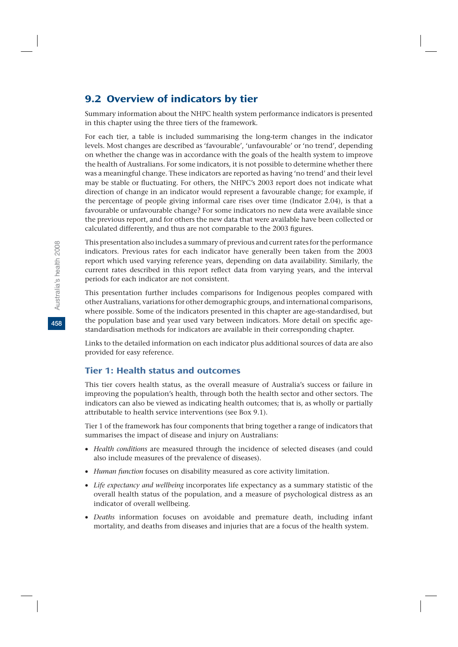# 9.2 Overview of indicators by tier

Summary information about the NHPC health system performance indicators is presented in this chapter using the three tiers of the framework.

For each tier, a table is included summarising the long-term changes in the indicator levels. Most changes are described as 'favourable', 'unfavourable' or 'no trend', depending on whether the change was in accordance with the goals of the health system to improve the health of Australians. For some indicators, it is not possible to determine whether there was a meaningful change. These indicators are reported as having 'no trend' and their level may be stable or fluctuating. For others, the NHPC's 2003 report does not indicate what direction of change in an indicator would represent a favourable change; for example, if the percentage of people giving informal care rises over time (Indicator 2.04), is that a favourable or unfavourable change? For some indicators no new data were available since the previous report, and for others the new data that were available have been collected or calculated differently, and thus are not comparable to the 2003 figures.

This presentation also includes a summary of previous and current rates for the performance indicators. Previous rates for each indicator have generally been taken from the 2003 report which used varying reference years, depending on data availability. Similarly, the current rates described in this report reflect data from varying years, and the interval periods for each indicator are not consistent.

This presentation further includes comparisons for Indigenous peoples compared with other Australians, variations for other demographic groups, and international comparisons, where possible. Some of the indicators presented in this chapter are age-standardised, but the population base and year used vary between indicators. More detail on specific agestandardisation methods for indicators are available in their corresponding chapter.

Links to the detailed information on each indicator plus additional sources of data are also provided for easy reference.

# Tier 1: Health status and outcomes

This tier covers health status, as the overall measure of Australia's success or failure in improving the population's health, through both the health sector and other sectors. The indicators can also be viewed as indicating health outcomes; that is, as wholly or partially attributable to health service interventions (see Box 9.1).

Tier 1 of the framework has four components that bring together a range of indicators that summarises the impact of disease and injury on Australians:

- v *Health conditions* are measured through the incidence of selected diseases (and could also include measures of the prevalence of diseases).
- v *Human function* focuses on disability measured as core activity limitation.
- v *Life expectancy and wellbeing* incorporates life expectancy as a summary statistic of the overall health status of the population, and a measure of psychological distress as an indicator of overall wellbeing.
- v *Deaths* information focuses on avoidable and premature death, including infant mortality, and deaths from diseases and injuries that are a focus of the health system.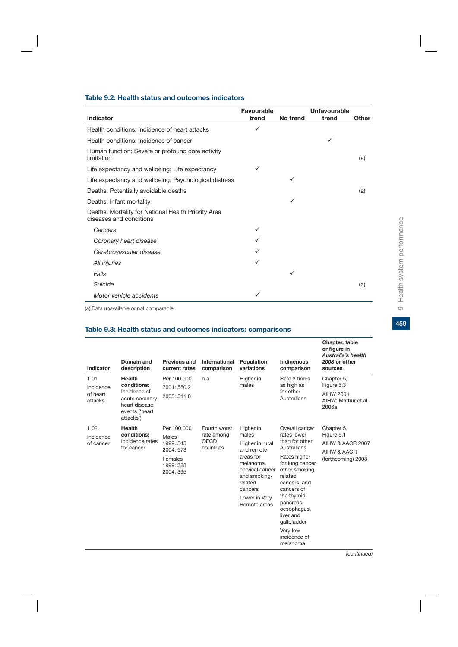459

#### **Table 9.2: Health status and outcomes indicators**

|                                                                                | Favourable |          | Unfavourable |       |
|--------------------------------------------------------------------------------|------------|----------|--------------|-------|
| Indicator                                                                      | trend      | No trend | trend        | Other |
| Health conditions: Incidence of heart attacks                                  | ✓          |          |              |       |
| Health conditions: Incidence of cancer                                         |            |          | ✓            |       |
| Human function: Severe or profound core activity<br>limitation                 |            |          |              | (a)   |
| Life expectancy and wellbeing: Life expectancy                                 | ✓          |          |              |       |
| Life expectancy and wellbeing: Psychological distress                          |            | ✓        |              |       |
| Deaths: Potentially avoidable deaths                                           |            |          |              | (a)   |
| Deaths: Infant mortality                                                       |            | ✓        |              |       |
| Deaths: Mortality for National Health Priority Area<br>diseases and conditions |            |          |              |       |
| Cancers                                                                        | ✓          |          |              |       |
| Coronary heart disease                                                         |            |          |              |       |
| Cerebrovascular disease                                                        |            |          |              |       |
| All injuries                                                                   | ✓          |          |              |       |
| Falls                                                                          |            | ✓        |              |       |
| Suicide                                                                        |            |          |              | (a)   |
| Motor vehicle accidents                                                        | ✓          |          |              |       |

(a) Data unavailable or not comparable.

#### **Table 9.3: Health status and outcomes indicators: comparisons**

| Indicator                                | Domain and<br>description                                                                               | <b>Previous and</b><br>current rates                                                | International<br>comparison                     | Population<br>variations                                                                                                                                                | Indigenous<br>comparison                                                                                                                                                                                                                                                      | Chapter, table<br>or figure in<br><b>Australia's health</b><br>2008 or other<br>sources |
|------------------------------------------|---------------------------------------------------------------------------------------------------------|-------------------------------------------------------------------------------------|-------------------------------------------------|-------------------------------------------------------------------------------------------------------------------------------------------------------------------------|-------------------------------------------------------------------------------------------------------------------------------------------------------------------------------------------------------------------------------------------------------------------------------|-----------------------------------------------------------------------------------------|
| 1.01<br>Incidence<br>of heart<br>attacks | Health<br>conditions:<br>Incidence of<br>acute coronary<br>heart disease<br>events ('heart<br>attacks') | Per 100,000<br>2001: 580.2<br>2005: 511.0                                           | n.a.                                            | Higher in<br>males                                                                                                                                                      | Rate 3 times<br>as high as<br>for other<br>Australians                                                                                                                                                                                                                        | Chapter 5,<br>Figure 5.3<br><b>AIHW 2004</b><br>AIHW: Mathur et al.<br>2006a            |
| 1.02<br>Incidence<br>of cancer           | Health<br>conditions:<br>Incidence rates<br>for cancer                                                  | Per 100,000<br>Males<br>1999: 545<br>2004: 573<br>Females<br>1999: 388<br>2004: 395 | Fourth worst<br>rate among<br>OECD<br>countries | Higher in<br>males<br>Higher in rural<br>and remote<br>areas for<br>melanoma.<br>cervical cancer<br>and smoking-<br>related<br>cancers<br>Lower in Very<br>Remote areas | Overall cancer<br>rates lower<br>than for other<br>Australians<br>Rates higher<br>for lung cancer,<br>other smoking-<br>related<br>cancers, and<br>cancers of<br>the thyroid,<br>pancreas,<br>oesophagus,<br>liver and<br>qallbladder<br>Very low<br>incidence of<br>melanoma | Chapter 5,<br>Figure 5.1<br>AIHW & AACR 2007<br>AIHW & AACR<br>(forthcoming) 2008       |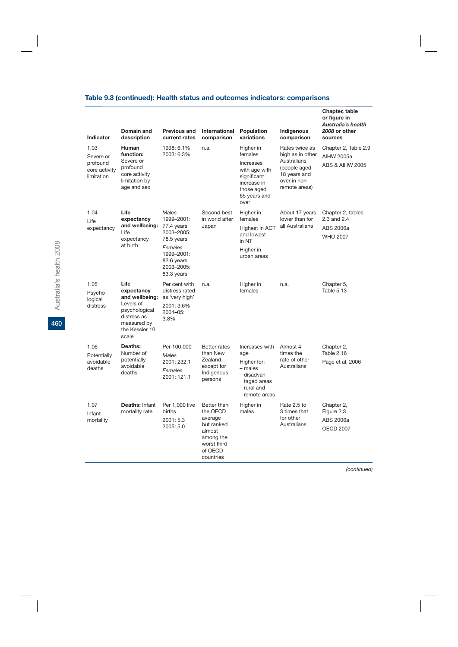# **Table 9.3 (continued): Health status and outcomes indicators: comparisons**

| Indicator                                                    | Domain and<br>description                                                                                                   | <b>Previous and</b><br>current rates                                                                                             | International<br>comparison                                                                                    | Population<br>variations                                                                                               | Indigenous<br>comparison                                                                                           | Chapter, table<br>or figure in<br><b>Australia's health</b><br>2008 or other<br>sources |
|--------------------------------------------------------------|-----------------------------------------------------------------------------------------------------------------------------|----------------------------------------------------------------------------------------------------------------------------------|----------------------------------------------------------------------------------------------------------------|------------------------------------------------------------------------------------------------------------------------|--------------------------------------------------------------------------------------------------------------------|-----------------------------------------------------------------------------------------|
| 1.03<br>Severe or<br>profound<br>core activity<br>limitation | Human<br>function:<br>Severe or<br>profound<br>core activity<br>limitation by<br>age and sex                                | 1998: 6.1%<br>2003: 6.3%                                                                                                         | n.a.                                                                                                           | Higher in<br>females<br>Increases<br>with age with<br>significant<br>increase in<br>those aged<br>65 years and<br>over | Rates twice as<br>high as in other<br>Australians<br>(people aged<br>18 years and<br>over in non-<br>remote areas) | Chapter 2, Table 2.9<br>AIHW 2005a<br><b>ABS &amp; AIHW 2005</b>                        |
| 1.04<br>Life<br>expectancy                                   | Life<br>expectancy<br>and wellbeing:<br>Life<br>expectancy<br>at birth                                                      | Males<br>1999-2001:<br>77.4 years<br>2003-2005:<br>78.5 years<br>Females<br>1999-2001:<br>82.6 years<br>2003-2005:<br>83.3 years | Second best<br>in world after<br>Japan                                                                         | Higher in<br>females<br><b>Highest in ACT</b><br>and lowest<br>in NT<br>Higher in<br>urban areas                       | About 17 years<br>lower than for<br>all Australians                                                                | Chapter 2, tables<br>2.3 and 2.4<br>ABS 2006a<br><b>WHO 2007</b>                        |
| 1.05<br>Psycho-<br>logical<br>distress                       | Life<br>expectancy<br>and wellbeing:<br>Levels of<br>psychological<br>distress as<br>measured by<br>the Kessler 10<br>scale | Per cent with<br>distress rated<br>as 'very high'<br>2001: 3.6%<br>2004-05:<br>3.8%                                              | n.a.                                                                                                           | Higher in<br>females                                                                                                   | n.a.                                                                                                               | Chapter 5,<br>Table 5.13                                                                |
| 1.06<br>Potentially<br>avoidable<br>deaths                   | Deaths:<br>Number of<br>potentially<br>avoidable<br>deaths                                                                  | Per 100,000<br><b>Males</b><br>2001: 232.1<br>Females<br>2001: 121.1                                                             | <b>Better rates</b><br>than New<br>Zealand,<br>except for<br>Indigenous<br>persons                             | Increases with<br>age<br>Higher for:<br>- males<br>– disadvan-<br>taged areas<br>- rural and<br>remote areas           | Almost 4<br>times the<br>rate of other<br>Australians                                                              | Chapter 2,<br>Table 2.16<br>Page et al. 2006                                            |
| 1.07<br>Infant<br>mortality                                  | <b>Deaths: Infant</b><br>mortality rate                                                                                     | Per 1,000 live<br>births<br>2001: 5.3<br>2005: 5.0                                                                               | Better than<br>the OECD<br>average<br>but ranked<br>almost<br>among the<br>worst third<br>of OECD<br>countries | Higher in<br>males                                                                                                     | Rate 2.5 to<br>3 times that<br>for other<br>Australians                                                            | Chapter 2,<br>Figure 2.3<br>ABS 2006a<br><b>OECD 2007</b>                               |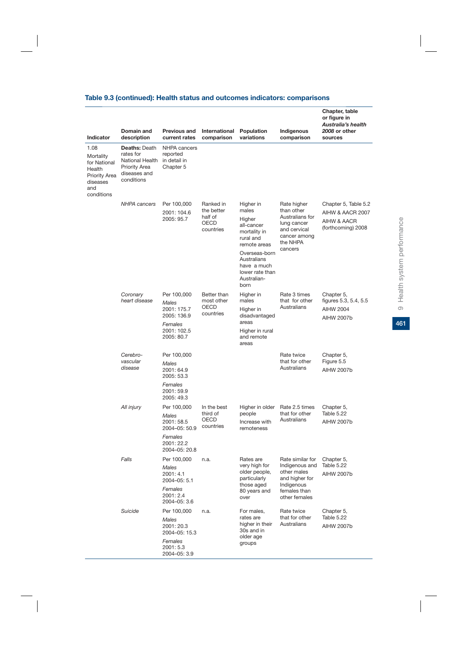|  |  | Table 9.3 (continued): Health status and outcomes indicators: comparisons |  |
|--|--|---------------------------------------------------------------------------|--|
|--|--|---------------------------------------------------------------------------|--|

|                                                                                               | Domain and                                                                                                 | <b>Previous and</b>                                                                                               | International                                                  | Population                                                                                                                                                                       | Indigenous                                                                                                         | Chapter, table<br>or figure in<br>Australia's health<br>2008 or other         |
|-----------------------------------------------------------------------------------------------|------------------------------------------------------------------------------------------------------------|-------------------------------------------------------------------------------------------------------------------|----------------------------------------------------------------|----------------------------------------------------------------------------------------------------------------------------------------------------------------------------------|--------------------------------------------------------------------------------------------------------------------|-------------------------------------------------------------------------------|
| Indicator                                                                                     | description                                                                                                | current rates                                                                                                     | comparison                                                     | variations                                                                                                                                                                       | comparison                                                                                                         | sources                                                                       |
| 1.08<br>Mortality<br>for National<br>Health<br>Priority Area<br>diseases<br>and<br>conditions | <b>Deaths: Death</b><br>rates for<br>National Health<br><b>Priority Area</b><br>diseases and<br>conditions | NHPA cancers<br>reported<br>in detail in<br>Chapter 5                                                             |                                                                |                                                                                                                                                                                  |                                                                                                                    |                                                                               |
|                                                                                               | <b>NHPA</b> cancers                                                                                        | Per 100,000<br>2001: 104.6<br>2005: 95.7                                                                          | Ranked in<br>the better<br>half of<br><b>OECD</b><br>countries | Higher in<br>males<br>Higher<br>all-cancer<br>mortality in<br>rural and<br>remote areas<br>Overseas-born<br>Australians<br>have a much<br>lower rate than<br>Australian-<br>born | Rate higher<br>than other<br>Australians for<br>lung cancer<br>and cervical<br>cancer among<br>the NHPA<br>cancers | Chapter 5, Table 5.2<br>AIHW & AACR 2007<br>AIHW & AACR<br>(forthcoming) 2008 |
|                                                                                               | Coronary<br>heart disease                                                                                  | Per 100,000<br>Males<br>2001: 175.7<br>2005: 136.9<br>Females<br>2001: 102.5<br>2005: 80.7                        | Better than<br>most other<br><b>OECD</b><br>countries          | Higher in<br>males<br>Higher in<br>disadvantaged<br>areas<br>Higher in rural<br>and remote<br>areas                                                                              | Rate 3 times<br>that for other<br>Australians                                                                      | Chapter 5,<br>figures 5.3, 5.4, 5.5<br><b>AIHW 2004</b><br>AIHW 2007b         |
|                                                                                               | Cerebro-<br>vascular<br>disease                                                                            | Per 100,000<br>Males<br>2001: 64.9<br>2005: 53.3<br>Females<br>2001: 59.9                                         |                                                                |                                                                                                                                                                                  | Rate twice<br>that for other<br>Australians                                                                        | Chapter 5,<br>Figure 5.5<br><b>AIHW 2007b</b>                                 |
|                                                                                               |                                                                                                            | 2005: 49.3                                                                                                        |                                                                |                                                                                                                                                                                  |                                                                                                                    |                                                                               |
|                                                                                               | All injury                                                                                                 | Per 100,000<br>Males<br>2001: 58.5<br>2004-05: 50.9<br>Females<br>2001: 22.2                                      | In the best<br>third of<br>OECD<br>countries                   | Higher in older<br>people<br>Increase with<br>remoteness                                                                                                                         | Rate 2.5 times<br>that for other<br>Australians                                                                    | Chapter 5,<br>Table 5.22<br><b>AIHW 2007b</b>                                 |
|                                                                                               | Falls                                                                                                      | 2004-05: 20.8<br>Per 100,000<br><b>Males</b><br>2001: 4.1<br>2004-05: 5.1<br>Females<br>2001: 2.4<br>2004-05: 3.6 | n.a.                                                           | Rates are<br>very high for<br>older people,<br>particularly<br>those aged<br>80 years and<br>over                                                                                | Rate similar for<br>Indigenous and<br>other males<br>and higher for<br>Indigenous<br>females than<br>other females | Chapter 5,<br>Table 5.22<br><b>AIHW 2007b</b>                                 |
|                                                                                               | Suicide                                                                                                    | Per 100,000<br><b>Males</b><br>2001: 20.3<br>2004-05: 15.3<br>Females<br>2001: 5.3<br>2004-05: 3.9                | n.a.                                                           | For males,<br>rates are<br>higher in their<br>30s and in<br>older age<br>groups                                                                                                  | Rate twice<br>that for other<br>Australians                                                                        | Chapter 5,<br>Table 5.22<br><b>AIHW 2007b</b>                                 |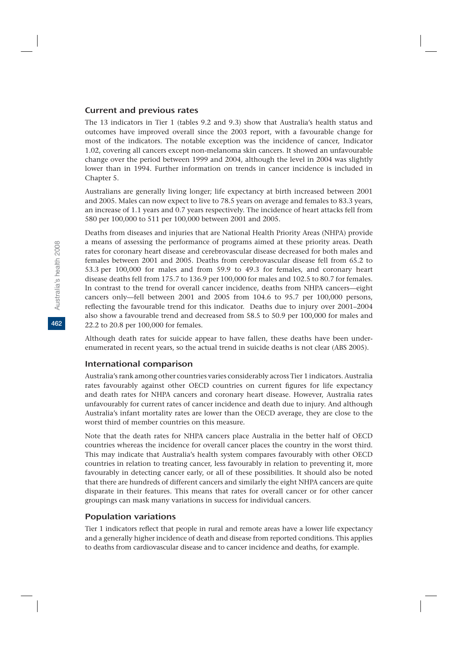### Current and previous rates

The 13 indicators in Tier 1 (tables 9.2 and 9.3) show that Australia's health status and outcomes have improved overall since the 2003 report, with a favourable change for most of the indicators. The notable exception was the incidence of cancer, Indicator 1.02, covering all cancers except non-melanoma skin cancers. It showed an unfavourable change over the period between 1999 and 2004, although the level in 2004 was slightly lower than in 1994. Further information on trends in cancer incidence is included in Chapter 5.

Australians are generally living longer; life expectancy at birth increased between 2001 and 2005. Males can now expect to live to 78.5 years on average and females to 83.3 years, an increase of 1.1 years and 0.7 years respectively. The incidence of heart attacks fell from 580 per 100,000 to 511 per 100,000 between 2001 and 2005.

Deaths from diseases and injuries that are National Health Priority Areas (NHPA) provide a means of assessing the performance of programs aimed at these priority areas. Death rates for coronary heart disease and cerebrovascular disease decreased for both males and females between 2001 and 2005. Deaths from cerebrovascular disease fell from 65.2 to 53.3 per 100,000 for males and from 59.9 to 49.3 for females, and coronary heart disease deaths fell from 175.7 to 136.9 per 100,000 for males and 102.5 to 80.7 for females. In contrast to the trend for overall cancer incidence, deaths from NHPA cancers—eight cancers only—fell between 2001 and 2005 from 104.6 to 95.7 per 100,000 persons, reflecting the favourable trend for this indicator. Deaths due to injury over 2001–2004 also show a favourable trend and decreased from 58.5 to 50.9 per 100,000 for males and 22.2 to 20.8 per 100,000 for females.

Although death rates for suicide appear to have fallen, these deaths have been underenumerated in recent years, so the actual trend in suicide deaths is not clear (ABS 2005).

### International comparison

Australia's rank among other countries varies considerably across Tier 1 indicators. Australia rates favourably against other OECD countries on current figures for life expectancy and death rates for NHPA cancers and coronary heart disease. However, Australia rates unfavourably for current rates of cancer incidence and death due to injury. And although Australia's infant mortality rates are lower than the OECD average, they are close to the worst third of member countries on this measure.

Note that the death rates for NHPA cancers place Australia in the better half of OECD countries whereas the incidence for overall cancer places the country in the worst third. This may indicate that Australia's health system compares favourably with other OECD countries in relation to treating cancer, less favourably in relation to preventing it, more favourably in detecting cancer early, or all of these possibilities. It should also be noted that there are hundreds of different cancers and similarly the eight NHPA cancers are quite disparate in their features. This means that rates for overall cancer or for other cancer groupings can mask many variations in success for individual cancers.

### Population variations

Tier 1 indicators reflect that people in rural and remote areas have a lower life expectancy and a generally higher incidence of death and disease from reported conditions. This applies to deaths from cardiovascular disease and to cancer incidence and deaths, for example.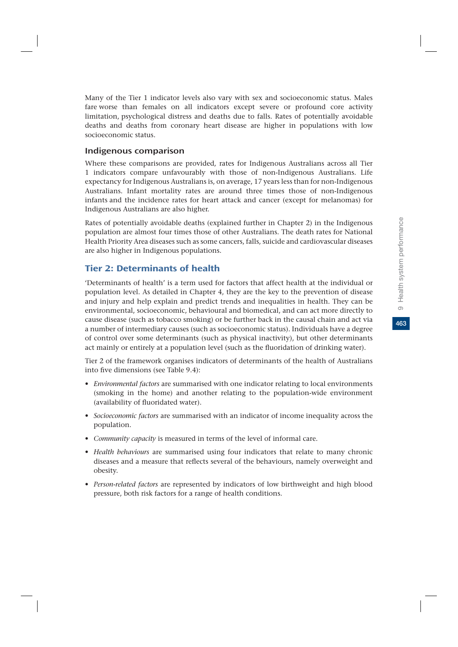463

Many of the Tier 1 indicator levels also vary with sex and socioeconomic status. Males fare worse than females on all indicators except severe or profound core activity limitation, psychological distress and deaths due to falls. Rates of potentially avoidable deaths and deaths from coronary heart disease are higher in populations with low socioeconomic status.

### Indigenous comparison

Where these comparisons are provided, rates for Indigenous Australians across all Tier 1 indicators compare unfavourably with those of non-Indigenous Australians. Life expectancy for Indigenous Australians is, on average, 17 years less than for non-Indigenous Australians. Infant mortality rates are around three times those of non-Indigenous infants and the incidence rates for heart attack and cancer (except for melanomas) for Indigenous Australians are also higher.

Rates of potentially avoidable deaths (explained further in Chapter 2) in the Indigenous population are almost four times those of other Australians. The death rates for National Health Priority Area diseases such as some cancers, falls, suicide and cardiovascular diseases are also higher in Indigenous populations.

### Tier 2: Determinants of health

'Determinants of health' is a term used for factors that affect health at the individual or population level. As detailed in Chapter 4, they are the key to the prevention of disease and injury and help explain and predict trends and inequalities in health. They can be environmental, socioeconomic, behavioural and biomedical, and can act more directly to cause disease (such as tobacco smoking) or be further back in the causal chain and act via a number of intermediary causes (such as socioeconomic status). Individuals have a degree of control over some determinants (such as physical inactivity), but other determinants act mainly or entirely at a population level (such as the fluoridation of drinking water).

Tier 2 of the framework organises indicators of determinants of the health of Australians into five dimensions (see Table 9.4):

- *Environmental factors* are summarised with one indicator relating to local environments (smoking in the home) and another relating to the population-wide environment (availability of fluoridated water).
- *Socioeconomic factors* are summarised with an indicator of income inequality across the population.
- *Community capacity* is measured in terms of the level of informal care.
- *Health behaviours* are summarised using four indicators that relate to many chronic diseases and a measure that reflects several of the behaviours, namely overweight and obesity.
- *Person-related factors* are represented by indicators of low birthweight and high blood pressure, both risk factors for a range of health conditions.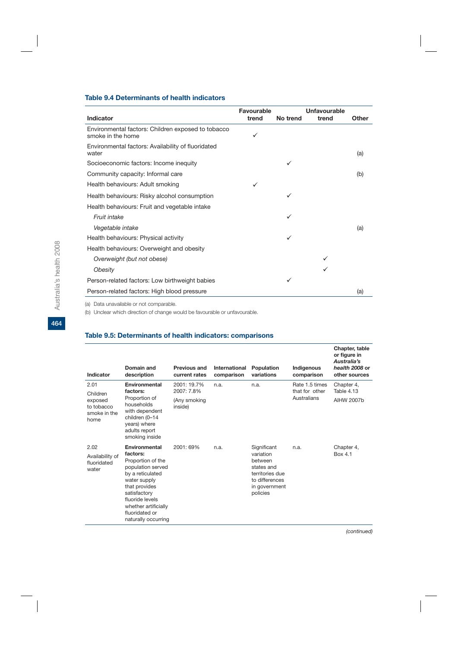### **Table 9.4 Determinants of health indicators**

|                                                                         | Favourable |          | Unfavourable |       |
|-------------------------------------------------------------------------|------------|----------|--------------|-------|
| Indicator                                                               | trend      | No trend | trend        | Other |
| Environmental factors: Children exposed to tobacco<br>smoke in the home | ✓          |          |              |       |
| Environmental factors: Availability of fluoridated<br>water             |            |          |              | (a)   |
| Socioeconomic factors: Income inequity                                  |            |          |              |       |
| Community capacity: Informal care                                       |            |          |              | (b)   |
| Health behaviours: Adult smoking                                        | ✓          |          |              |       |
| Health behaviours: Risky alcohol consumption                            |            | ✓        |              |       |
| Health behaviours: Fruit and vegetable intake                           |            |          |              |       |
| Fruit intake                                                            |            | ✓        |              |       |
| Vegetable intake                                                        |            |          |              | (a)   |
| Health behaviours: Physical activity                                    |            | ✓        |              |       |
| Health behaviours: Overweight and obesity                               |            |          |              |       |
| Overweight (but not obese)                                              |            |          |              |       |
| Obesity                                                                 |            |          |              |       |
| Person-related factors: Low birthweight babies                          |            |          |              |       |
| Person-related factors: High blood pressure                             |            |          |              | (a)   |
|                                                                         |            |          |              |       |

(a) Data unavailable or not comparable.

(b) Unclear which direction of change would be favourable or unfavourable.

### **Table 9.5: Determinants of health indicators: comparisons**

| Indicator                                                         | Domain and<br>description                                                                                                                                                                                                    | Previous and<br>current rates                        | International<br>comparison | Population<br>variations                                                                                            | Indigenous<br>comparison                        | Chapter, table<br>or figure in<br>Australia's<br>health 2008 or<br>other sources |
|-------------------------------------------------------------------|------------------------------------------------------------------------------------------------------------------------------------------------------------------------------------------------------------------------------|------------------------------------------------------|-----------------------------|---------------------------------------------------------------------------------------------------------------------|-------------------------------------------------|----------------------------------------------------------------------------------|
| 2.01<br>Children<br>exposed<br>to tobacco<br>smoke in the<br>home | Environmental<br>factors:<br>Proportion of<br>households<br>with dependent<br>children (0-14<br>years) where<br>adults report<br>smoking inside                                                                              | 2001: 19.7%<br>2007: 7.8%<br>(Any smoking<br>inside) | n.a.                        | n.a.                                                                                                                | Rate 1.5 times<br>that for other<br>Australians | Chapter 4,<br><b>Table 4.13</b><br>AIHW 2007b                                    |
| 2.02<br>Availability of<br>fluoridated<br>water                   | Environmental<br>factors:<br>Proportion of the<br>population served<br>by a reticulated<br>water supply<br>that provides<br>satisfactory<br>fluoride levels<br>whether artificially<br>fluoridated or<br>naturally occurring | 2001: 69%                                            | n.a.                        | Significant<br>variation<br>between<br>states and<br>territories due<br>to differences<br>in government<br>policies | n.a.                                            | Chapter 4,<br>Box 4.1                                                            |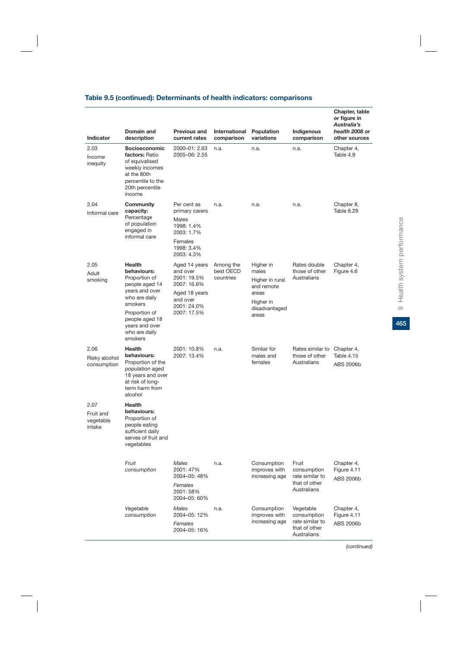### **Table 9.5 (continued): Determinants of health indicators: comparisons**

| <b>Indicator</b>                         | Domain and<br>description                                                                                                                                                                      | Previous and<br>current rates                                                                                      | International<br>comparison         | Population<br>variations                                                                            | Indigenous<br>comparison                                                    | Chapter, table<br>or figure in<br>Australia's<br>health 2008 or<br>other sources |
|------------------------------------------|------------------------------------------------------------------------------------------------------------------------------------------------------------------------------------------------|--------------------------------------------------------------------------------------------------------------------|-------------------------------------|-----------------------------------------------------------------------------------------------------|-----------------------------------------------------------------------------|----------------------------------------------------------------------------------|
| 2.03<br>Income<br>inequity               | Socioeconomic<br>factors: Ratio<br>of equivalised<br>weekly incomes<br>at the 80th<br>percentile to the<br>20th percentile<br>income                                                           | 2000-01: 2.63<br>2005-06: 2.55                                                                                     | n.a.                                | n.a.                                                                                                | n.a.                                                                        | Chapter 4,<br>Table 4.9                                                          |
| 2.04<br>Informal care                    | Community<br>capacity:<br>Percentage<br>of population<br>engaged in<br>informal care                                                                                                           | Per cent as<br>primary carers<br>Males<br>1998: 1.4%<br>2003: 1.7%<br>Females<br>1998: 3.4%<br>2003: 4.3%          | n.a.                                | n.a.                                                                                                | n.a.                                                                        | Chapter 8,<br>Table 8.29                                                         |
| 2.05<br>Adult<br>smoking                 | <b>Health</b><br>behaviours:<br>Proportion of<br>people aged 14<br>years and over<br>who are daily<br>smokers<br>Proportion of<br>people aged 18<br>years and over<br>who are daily<br>smokers | Aged 14 years<br>and over<br>2001: 19.5%<br>2007: 16.6%<br>Aged 18 years<br>and over<br>2001: 24.0%<br>2007: 17.5% | Among the<br>best OECD<br>countries | Higher in<br>males<br>Higher in rural<br>and remote<br>areas<br>Higher in<br>disadvantaged<br>areas | Rates double<br>those of other<br>Australians                               | Chapter 4,<br>Figure 4.6                                                         |
| 2.06<br>Risky alcohol<br>consumption     | <b>Health</b><br>behaviours:<br>Proportion of the<br>population aged<br>18 years and over<br>at risk of long-<br>term harm from<br>alcohol                                                     | 2001: 10.8%<br>2007: 13.4%                                                                                         | n.a.                                | Similar for<br>males and<br>females                                                                 | Rates similar to Chapter 4,<br>those of other<br>Australians                | Table 4.15<br>ABS 2006b                                                          |
| 2.07<br>Fruit and<br>vegetable<br>intake | <b>Health</b><br>behaviours:<br>Proportion of<br>people eating<br>sufficient daily<br>serves of fruit and<br>vegetables                                                                        |                                                                                                                    |                                     |                                                                                                     |                                                                             |                                                                                  |
|                                          | Fruit<br>consumption                                                                                                                                                                           | Males<br>2001: 47%<br>2004-05: 48%<br>Females<br>2001: 58%<br>2004-05: 60%                                         | n.a.                                | Consumption<br>improves with<br>increasing age                                                      | Fruit<br>consumption<br>rate similar to<br>that of other<br>Australians     | Chapter 4,<br>Figure 4.11<br>ABS 2006b                                           |
|                                          | Vegetable<br>consumption                                                                                                                                                                       | Males<br>2004-05: 12%<br>Females<br>2004-05: 16%                                                                   | n.a.                                | Consumption<br>improves with<br>increasing age                                                      | Vegetable<br>consumption<br>rate similar to<br>that of other<br>Australians | Chapter 4,<br>Figure 4.11<br>ABS 2006b                                           |

465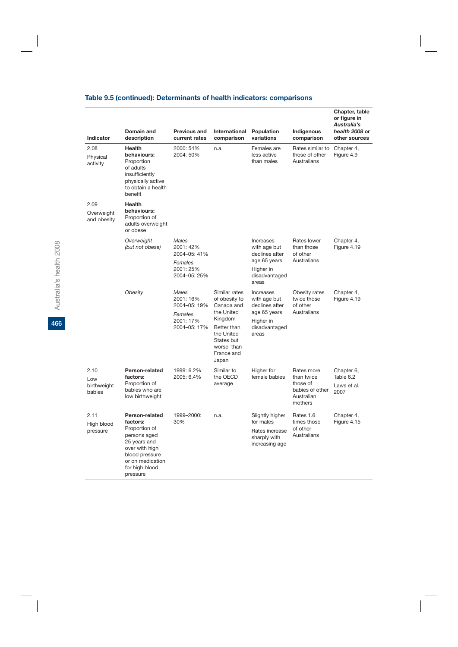# **Table 9.5 (continued): Determinants of health indicators: comparisons**

|                                      | Domain and                                                                                                                                                        | Previous and                                                               | International                                                                                                                                         |                                                                                                    |                                                                                  | Chapter, table<br>or figure in<br>Australia's<br>health 2008 or |
|--------------------------------------|-------------------------------------------------------------------------------------------------------------------------------------------------------------------|----------------------------------------------------------------------------|-------------------------------------------------------------------------------------------------------------------------------------------------------|----------------------------------------------------------------------------------------------------|----------------------------------------------------------------------------------|-----------------------------------------------------------------|
| Indicator                            | description                                                                                                                                                       | current rates                                                              | comparison                                                                                                                                            | Population<br>variations                                                                           | Indigenous<br>comparison                                                         | other sources                                                   |
| 2.08<br>Physical<br>activity         | <b>Health</b><br>behaviours:<br>Proportion<br>of adults<br>insufficiently<br>physically active<br>to obtain a health<br>benefit                                   | 2000: 54%<br>2004: 50%                                                     | n.a.                                                                                                                                                  | Females are<br>less active<br>than males                                                           | Rates similar to<br>those of other<br>Australians                                | Chapter 4,<br>Figure 4.9                                        |
| 2.09<br>Overweight<br>and obesity    | <b>Health</b><br>behaviours:<br>Proportion of<br>adults overweight<br>or obese                                                                                    |                                                                            |                                                                                                                                                       |                                                                                                    |                                                                                  |                                                                 |
|                                      | Overweight<br>(but not obese)                                                                                                                                     | <b>Males</b><br>2001: 42%<br>2004-05: 41%                                  |                                                                                                                                                       | Increases<br>with age but<br>declines after                                                        | Rates lower<br>than those<br>of other<br>Australians                             | Chapter 4,<br>Figure 4.19                                       |
|                                      |                                                                                                                                                                   | Females<br>2001: 25%<br>2004-05: 25%                                       |                                                                                                                                                       | age 65 years<br>Higher in<br>disadvantaged<br>areas                                                |                                                                                  |                                                                 |
|                                      | Obesity                                                                                                                                                           | Males<br>2001: 16%<br>2004-05: 19%<br>Females<br>2001: 17%<br>2004-05: 17% | Similar rates<br>of obesity to<br>Canada and<br>the United<br>Kingdom<br>Better than<br>the United<br>States but<br>worse than<br>France and<br>Japan | Increases<br>with age but<br>declines after<br>age 65 years<br>Higher in<br>disadvantaged<br>areas | Obesity rates<br>twice those<br>of other<br>Australians                          | Chapter 4,<br>Figure 4.19                                       |
| 2.10<br>Low<br>birthweight<br>babies | Person-related<br>factors:<br>Proportion of<br>babies who are<br>low birthweight                                                                                  | 1999: 6.2%<br>2005: 6.4%                                                   | Similar to<br>the OECD<br>average                                                                                                                     | Higher for<br>female babies                                                                        | Rates more<br>than twice<br>those of<br>babies of other<br>Australian<br>mothers | Chapter 6,<br>Table 6.2<br>Laws et al.<br>2007                  |
| 2.11<br>High blood<br>pressure       | Person-related<br>factors:<br>Proportion of<br>persons aged<br>25 years and<br>over with high<br>blood pressure<br>or on medication<br>for high blood<br>pressure | 1999-2000:<br>30%                                                          | n.a.                                                                                                                                                  | Slightly higher<br>for males<br>Rates increase<br>sharply with<br>increasing age                   | Rates 1.6<br>times those<br>of other<br>Australians                              | Chapter 4,<br>Figure 4.15                                       |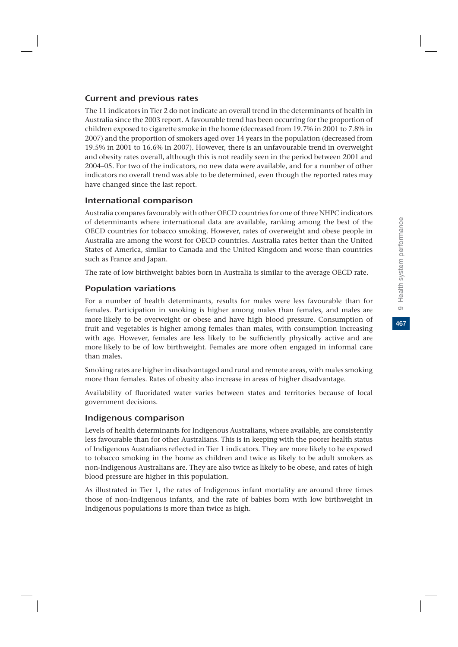467

# Current and previous rates

The 11 indicators in Tier 2 do not indicate an overall trend in the determinants of health in Australia since the 2003 report. A favourable trend has been occurring for the proportion of children exposed to cigarette smoke in the home (decreased from 19.7% in 2001 to 7.8% in 2007) and the proportion of smokers aged over 14 years in the population (decreased from 19.5% in 2001 to 16.6% in 2007). However, there is an unfavourable trend in overweight and obesity rates overall, although this is not readily seen in the period between 2001 and 2004–05. For two of the indicators, no new data were available, and for a number of other indicators no overall trend was able to be determined, even though the reported rates may have changed since the last report.

# International comparison

Australia compares favourably with other OECD countries for one of three NHPC indicators of determinants where international data are available, ranking among the best of the OECD countries for tobacco smoking. However, rates of overweight and obese people in Australia are among the worst for OECD countries. Australia rates better than the United States of America, similar to Canada and the United Kingdom and worse than countries such as France and Japan.

The rate of low birthweight babies born in Australia is similar to the average OECD rate.

# Population variations

For a number of health determinants, results for males were less favourable than for females. Participation in smoking is higher among males than females, and males are more likely to be overweight or obese and have high blood pressure. Consumption of fruit and vegetables is higher among females than males, with consumption increasing with age. However, females are less likely to be sufficiently physically active and are more likely to be of low birthweight. Females are more often engaged in informal care than males.

Smoking rates are higher in disadvantaged and rural and remote areas, with males smoking more than females. Rates of obesity also increase in areas of higher disadvantage.

Availability of fluoridated water varies between states and territories because of local government decisions.

# Indigenous comparison

Levels of health determinants for Indigenous Australians, where available, are consistently less favourable than for other Australians. This is in keeping with the poorer health status of Indigenous Australians reflected in Tier 1 indicators. They are more likely to be exposed to tobacco smoking in the home as children and twice as likely to be adult smokers as non-Indigenous Australians are. They are also twice as likely to be obese, and rates of high blood pressure are higher in this population.

As illustrated in Tier 1, the rates of Indigenous infant mortality are around three times those of non-Indigenous infants, and the rate of babies born with low birthweight in Indigenous populations is more than twice as high.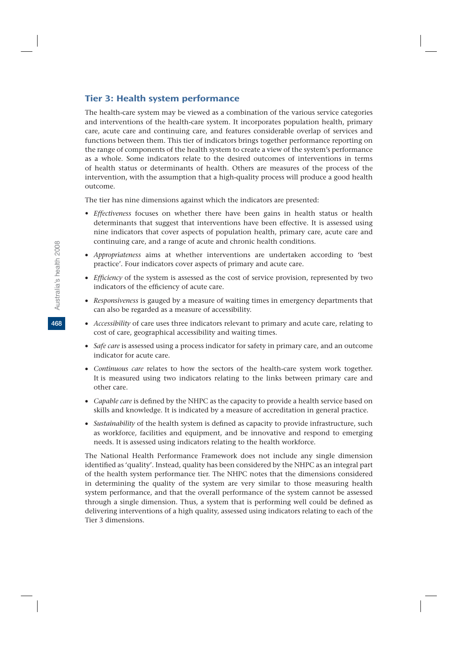### Tier 3: Health system performance

The health-care system may be viewed as a combination of the various service categories and interventions of the health-care system. It incorporates population health, primary care, acute care and continuing care, and features considerable overlap of services and functions between them. This tier of indicators brings together performance reporting on the range of components of the health system to create a view of the system's performance as a whole. Some indicators relate to the desired outcomes of interventions in terms of health status or determinants of health. Others are measures of the process of the intervention, with the assumption that a high-quality process will produce a good health outcome.

The tier has nine dimensions against which the indicators are presented:

- *Effectiveness* focuses on whether there have been gains in health status or health determinants that suggest that interventions have been effective. It is assessed using nine indicators that cover aspects of population health, primary care, acute care and continuing care, and a range of acute and chronic health conditions.
- v *Appropriateness* aims at whether interventions are undertaken according to 'best practice'. Four indicators cover aspects of primary and acute care.
- v *Efficiency* of the system is assessed as the cost of service provision, represented by two indicators of the efficiency of acute care.
- v *Responsiveness* is gauged by a measure of waiting times in emergency departments that can also be regarded as a measure of accessibility.
- v *Accessibility* of care uses three indicators relevant to primary and acute care, relating to cost of care, geographical accessibility and waiting times.
- v *Safe care* is assessed using a process indicator for safety in primary care, and an outcome indicator for acute care.
- v *Continuous care* relates to how the sectors of the health-care system work together. It is measured using two indicators relating to the links between primary care and other care.
- v *Capable care* is defined by the NHPC as the capacity to provide a health service based on skills and knowledge. It is indicated by a measure of accreditation in general practice.
- v *Sustainability* of the health system is defined as capacity to provide infrastructure, such as workforce, facilities and equipment, and be innovative and respond to emerging needs. It is assessed using indicators relating to the health workforce.

The National Health Performance Framework does not include any single dimension identified as 'quality'. Instead, quality has been considered by the NHPC as an integral part of the health system performance tier. The NHPC notes that the dimensions considered in determining the quality of the system are very similar to those measuring health system performance, and that the overall performance of the system cannot be assessed through a single dimension. Thus, a system that is performing well could be defined as delivering interventions of a high quality, assessed using indicators relating to each of the Tier 3 dimensions.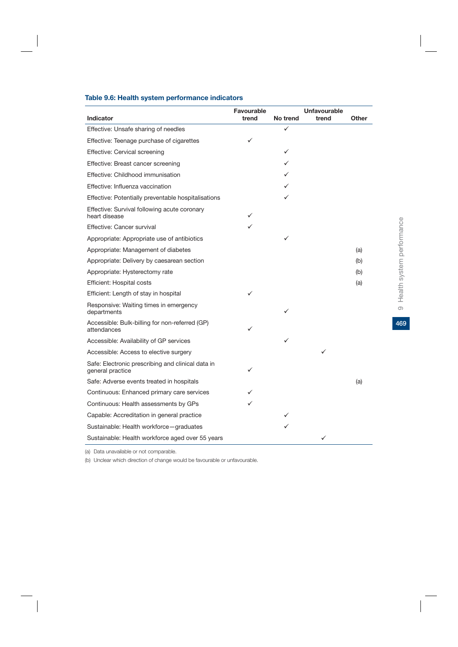### **Table 9.6: Health system performance indicators**

| Indicator                                                             | Favourable<br>trend | No trend | <b>Unfavourable</b><br>trend | Other |
|-----------------------------------------------------------------------|---------------------|----------|------------------------------|-------|
| Effective: Unsafe sharing of needles                                  |                     |          |                              |       |
| Effective: Teenage purchase of cigarettes                             | ✓                   |          |                              |       |
| Effective: Cervical screening                                         |                     | ✓        |                              |       |
| Effective: Breast cancer screening                                    |                     |          |                              |       |
| Effective: Childhood immunisation                                     |                     |          |                              |       |
| Effective: Influenza vaccination                                      |                     |          |                              |       |
| Effective: Potentially preventable hospitalisations                   |                     |          |                              |       |
| Effective: Survival following acute coronary<br>heart disease         | ✓                   |          |                              |       |
| Effective: Cancer survival                                            |                     |          |                              |       |
| Appropriate: Appropriate use of antibiotics                           |                     |          |                              |       |
| Appropriate: Management of diabetes                                   |                     |          |                              | (a)   |
| Appropriate: Delivery by caesarean section                            |                     |          |                              | (b)   |
| Appropriate: Hysterectomy rate                                        |                     |          |                              | (b)   |
| <b>Efficient: Hospital costs</b>                                      |                     |          |                              | (a)   |
| Efficient: Length of stay in hospital                                 | ✓                   |          |                              |       |
| Responsive: Waiting times in emergency<br>departments                 |                     |          |                              |       |
| Accessible: Bulk-billing for non-referred (GP)<br>attendances         | ✓                   |          |                              |       |
| Accessible: Availability of GP services                               |                     |          |                              |       |
| Accessible: Access to elective surgery                                |                     |          | ✓                            |       |
| Safe: Electronic prescribing and clinical data in<br>general practice | ✓                   |          |                              |       |
| Safe: Adverse events treated in hospitals                             |                     |          |                              | (a)   |
| Continuous: Enhanced primary care services                            |                     |          |                              |       |
| Continuous: Health assessments by GPs                                 |                     |          |                              |       |
| Capable: Accreditation in general practice                            |                     |          |                              |       |
| Sustainable: Health workforce-graduates                               |                     |          |                              |       |
| Sustainable: Health workforce aged over 55 years                      |                     |          |                              |       |

(a) Data unavailable or not comparable.

(b) Unclear which direction of change would be favourable or unfavourable.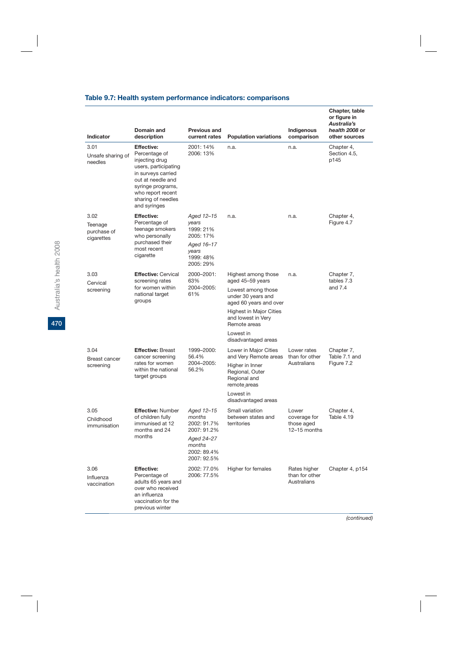| Table 9.7: Health system performance indicators: comparisons |  |  |  |  |  |
|--------------------------------------------------------------|--|--|--|--|--|
|--------------------------------------------------------------|--|--|--|--|--|

| <b>Indicator</b>                             | Domain and<br>description                                                                                                                                                                               | <b>Previous and</b><br>current rates                                                           | <b>Population variations</b>                                       | Indigenous<br>comparison                            | Chapter, table<br>or figure in<br>Australia's<br>health 2008 or<br>other sources |
|----------------------------------------------|---------------------------------------------------------------------------------------------------------------------------------------------------------------------------------------------------------|------------------------------------------------------------------------------------------------|--------------------------------------------------------------------|-----------------------------------------------------|----------------------------------------------------------------------------------|
| 3.01<br>Unsafe sharing of<br>needles         | <b>Effective:</b><br>Percentage of<br>injecting drug<br>users, participating<br>in surveys carried<br>out at needle and<br>syringe programs,<br>who report recent<br>sharing of needles<br>and syringes | 2001: 14%<br>2006: 13%                                                                         | n.a.                                                               | n.a.                                                | Chapter 4,<br>Section 4.5,<br>p145                                               |
| 3.02<br>Teenage<br>purchase of<br>cigarettes | <b>Effective:</b><br>Percentage of<br>teenage smokers<br>who personally<br>purchased their<br>most recent<br>cigarette                                                                                  | Aged 12-15<br>years<br>1999: 21%<br>2005: 17%<br>Aged 16–17<br>years<br>1999: 48%<br>2005: 29% | n.a.                                                               | n.a.                                                | Chapter 4,<br>Figure 4.7                                                         |
| 3.03                                         | <b>Effective: Cervical</b>                                                                                                                                                                              | 2000-2001:<br>63%                                                                              | Highest among those<br>aged 45-59 years                            | n.a.                                                | Chapter 7,<br>tables 7.3<br>and $7.4$                                            |
| Cervical<br>screening                        | screening rates<br>for women within<br>national target<br>groups                                                                                                                                        | 2004-2005:<br>61%                                                                              | Lowest among those<br>under 30 years and<br>aged 60 years and over |                                                     |                                                                                  |
|                                              |                                                                                                                                                                                                         |                                                                                                | Highest in Major Cities<br>and lowest in Very<br>Remote areas      |                                                     |                                                                                  |
|                                              |                                                                                                                                                                                                         |                                                                                                | Lowest in<br>disadvantaged areas                                   |                                                     |                                                                                  |
| 3.04<br><b>Breast cancer</b><br>screening    | <b>Effective: Breast</b><br>cancer screening<br>rates for women<br>within the national<br>target groups                                                                                                 | 1999-2000:<br>56.4%<br>2004-2005:<br>56.2%                                                     | Lower in Major Cities<br>and Very Remote areas                     | Lower rates<br>than for other<br>Australians        | Chapter 7,<br>Table 7.1 and<br>Figure 7.2                                        |
|                                              |                                                                                                                                                                                                         |                                                                                                | Higher in Inner<br>Regional, Outer<br>Regional and<br>remote areas |                                                     |                                                                                  |
|                                              |                                                                                                                                                                                                         |                                                                                                | Lowest in<br>disadvantaged areas                                   |                                                     |                                                                                  |
| 3.05<br>Childhood<br>immunisation            | <b>Effective: Number</b><br>of children fully<br>immunised at 12<br>months and 24<br>months                                                                                                             | Aaed 12-15<br>months<br>2002: 91.7%<br>2007: 91.2%<br>Aged 24-27<br>months                     | Small variation<br>between states and<br>territories               | Lower<br>coverage for<br>those aged<br>12-15 months | Chapter 4,<br>Table 4.19                                                         |
|                                              |                                                                                                                                                                                                         | 2002: 89.4%<br>2007: 92.5%                                                                     |                                                                    |                                                     |                                                                                  |
| 3.06<br>Influenza<br>vaccination             | <b>Effective:</b><br>Percentage of<br>adults 65 years and<br>over who received<br>an influenza<br>vaccination for the<br>previous winter                                                                | 2002: 77.0%<br>2006: 77.5%                                                                     | Higher for females                                                 | Rates higher<br>than for other<br>Australians       | Chapter 4, p154                                                                  |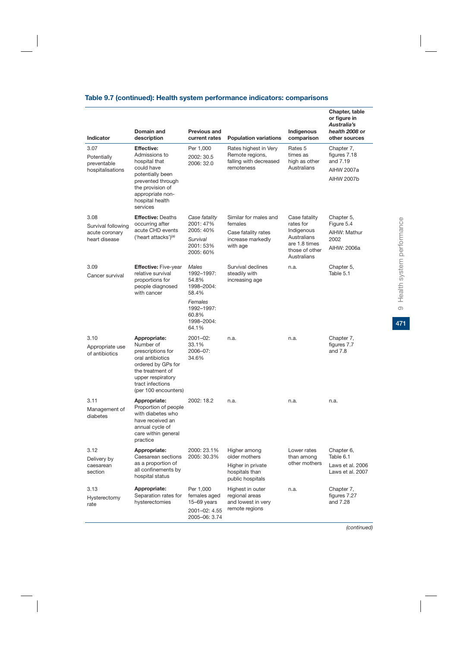### **Table 9.7 (continued): Health system performance indicators: comparisons**

|                                                               | Domain and                                                                                                                                                                        | <b>Previous and</b>                                                                   |                                                                                          | Indigenous                                                                                                | Chapter, table<br>or figure in<br>Australia's<br>health 2008 or           |
|---------------------------------------------------------------|-----------------------------------------------------------------------------------------------------------------------------------------------------------------------------------|---------------------------------------------------------------------------------------|------------------------------------------------------------------------------------------|-----------------------------------------------------------------------------------------------------------|---------------------------------------------------------------------------|
| <b>Indicator</b>                                              | description                                                                                                                                                                       | current rates                                                                         | <b>Population variations</b>                                                             | comparison                                                                                                | other sources                                                             |
| 3.07<br>Potentially<br>preventable<br>hospitalisations        | <b>Effective:</b><br>Admissions to<br>hospital that<br>could have<br>potentially been<br>prevented through<br>the provision of<br>appropriate non-<br>hospital health<br>services | Per 1,000<br>2002: 30.5<br>2006: 32.0                                                 | Rates highest in Very<br>Remote regions,<br>falling with decreased<br>remoteness         | Rates 5<br>times as<br>high as other<br>Australians                                                       | Chapter 7,<br>figures 7.18<br>and 7.19<br><b>AIHW 2007a</b><br>AIHW 2007b |
| 3.08<br>Survival following<br>acute coronary<br>heart disease | <b>Effective: Deaths</b><br>occurring after<br>acute CHD events<br>('heart attacks') <sup>(a)</sup>                                                                               | Case fatality<br>2001: 47%<br>2005: 40%<br>Survival<br>2001: 53%<br>2005: 60%         | Similar for males and<br>females<br>Case fatality rates<br>increase markedly<br>with age | Case fatality<br>rates for<br>Indigenous<br>Australians<br>are 1.8 times<br>those of other<br>Australians | Chapter 5,<br>Figure 5.4<br>AIHW: Mathur<br>2002<br>AIHW: 2006a           |
| 3.09<br>Cancer survival                                       | <b>Effective: Five-year</b><br>relative survival<br>proportions for<br>people diagnosed<br>with cancer                                                                            | Males<br>1992-1997:<br>54.8%<br>1998-2004:<br>58.4%<br>Females<br>1992-1997:<br>60.8% | Survival declines<br>steadily with<br>increasing age                                     | n.a.                                                                                                      | Chapter 5,<br>Table 5.1                                                   |
| 3.10<br>Appropriate use<br>of antibiotics                     | Appropriate:<br>Number of<br>prescriptions for<br>oral antibiotics<br>ordered by GPs for<br>the treatment of<br>upper respiratory<br>tract infections<br>(per 100 encounters)     | 1998-2004:<br>64.1%<br>2001-02:<br>33.1%<br>2006-07:<br>34.6%                         | n.a.                                                                                     | n.a.                                                                                                      | Chapter 7,<br>figures 7.7<br>and 7.8                                      |
| 3.11<br>Management of<br>diabetes                             | Appropriate:<br>Proportion of people<br>with diabetes who<br>have received an<br>annual cycle of<br>care within general<br>practice                                               | 2002: 18.2                                                                            | n.a.                                                                                     | n.a.                                                                                                      | n.a.                                                                      |
| 3.12<br>Delivery by<br>caesarean<br>section                   | Appropriate:<br>Caesarean sections<br>as a proportion of<br>all confinements by<br>hospital status                                                                                | 2000: 23.1%<br>2005: 30.3%                                                            | Higher among<br>older mothers<br>Higher in private<br>hospitals than<br>public hospitals | Lower rates<br>than among<br>other mothers                                                                | Chapter 6,<br>Table 6.1<br>Laws et al. 2006<br>Laws et al. 2007           |
| 3.13<br>Hysterectomy<br>rate                                  | Appropriate:<br>Separation rates for<br>hysterectomies                                                                                                                            | Per 1,000<br>females aged<br>$15-69$ years<br>2001-02: 4.55<br>2005-06: 3.74          | Highest in outer<br>regional areas<br>and lowest in very<br>remote regions               | n.a.                                                                                                      | Chapter 7,<br>figures 7.27<br>and 7.28                                    |

 $471$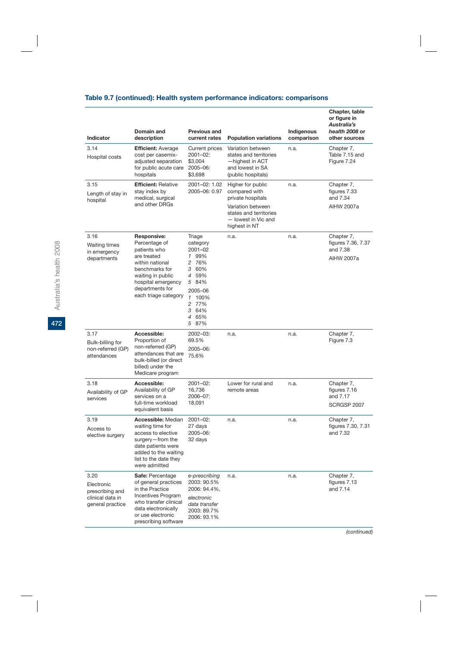# **Table 9.7 (continued): Health system performance indicators: comparisons**

| <b>Indicator</b>                                                              | Domain and<br>description                                                                                                                                                                     | <b>Previous and</b><br>current rates                                                                                                | <b>Population variations</b>                                                                                                                   | Indigenous<br>comparison | Chapter, table<br>or figure in<br>Australia's<br>health 2008 or<br>other sources |
|-------------------------------------------------------------------------------|-----------------------------------------------------------------------------------------------------------------------------------------------------------------------------------------------|-------------------------------------------------------------------------------------------------------------------------------------|------------------------------------------------------------------------------------------------------------------------------------------------|--------------------------|----------------------------------------------------------------------------------|
| 3.14<br>Hospital costs                                                        | <b>Efficient: Average</b><br>cost per casemix-<br>adjusted separation<br>for public acute care<br>hospitals                                                                                   | Current prices<br>2001-02:<br>\$3,004<br>2005-06:<br>\$3,698                                                                        | Variation between<br>states and territories<br>-highest in ACT<br>and lowest in SA<br>(public hospitals)                                       | n.a.                     | Chapter 7,<br>Table 7.15 and<br>Figure 7.24                                      |
| 3.15<br>Length of stay in<br>hospital                                         | <b>Efficient: Relative</b><br>stay index by<br>medical, surgical<br>and other DRGs                                                                                                            | 2001-02: 1.02<br>2005-06: 0.97                                                                                                      | Higher for public<br>compared with<br>private hospitals<br>Variation between<br>states and territories<br>- lowest in Vic and<br>highest in NT | n.a.                     | Chapter 7,<br>figures 7.33<br>and 7.34<br><b>AIHW 2007a</b>                      |
| 3.16<br><b>Waiting times</b><br>in emergency<br>departments                   | <b>Responsive:</b><br>Percentage of<br>patients who<br>are treated<br>within national<br>benchmarks for<br>waiting in public<br>hospital emergency<br>departments for<br>each triage category | Triage<br>category<br>2001-02<br>1 99%<br>2 76%<br>3 60%<br>4 59%<br>5 84%<br>2005-06<br>1 100%<br>2 77%<br>3 64%<br>4 65%<br>5 87% | n.a.                                                                                                                                           | n.a.                     | Chapter 7,<br>figures 7.36, 7.37<br>and 7.38<br><b>AIHW 2007a</b>                |
| 3.17<br>Bulk-billing for<br>non-referred (GP)<br>attendances                  | Accessible:<br>Proportion of<br>non-referred (GP)<br>attendances that are<br>bulk-billed (or direct<br>billed) under the<br>Medicare program                                                  | 2002-03:<br>69.5%<br>2005-06:<br>75.6%                                                                                              | n.a.                                                                                                                                           | n.a.                     | Chapter 7,<br>Figure 7.3                                                         |
| 3.18<br>Availability of GP<br>services                                        | Accessible:<br>Availability of GP<br>services on a<br>full-time workload<br>equivalent basis                                                                                                  | $2001 - 02$ :<br>16,736<br>2006-07:<br>18,091                                                                                       | Lower for rural and<br>remote areas                                                                                                            | n.a.                     | Chapter 7,<br>figures 7.16<br>and 7.17<br>SCRGSP 2007                            |
| 3.19<br>Access to<br>elective surgery                                         | Accessible: Median<br>waiting time for<br>access to elective<br>surgery-from the<br>date patients were<br>added to the waiting<br>list to the date they<br>were admitted                      | $2001 - 02$ :<br>27 days<br>2005-06:<br>32 days                                                                                     | n.a.                                                                                                                                           | n.a.                     | Chapter 7,<br>figures 7.30, 7.31<br>and 7.32                                     |
| 3.20<br>Electronic<br>prescribing and<br>clinical data in<br>general practice | Safe: Percentage<br>of general practices<br>in the Practice<br><b>Incentives Program</b><br>who transfer clinical<br>data electronically<br>or use electronic<br>prescribing software         | e-prescribing<br>2003: 90.5%<br>2006: 94.4%,<br>electronic<br>data transfer<br>2003: 89.7%<br>2006: 93.1%                           | n.a.                                                                                                                                           | n.a.                     | Chapter 7,<br>figures 7.13<br>and 7.14                                           |

Australia's health 2008 Australia's health 2008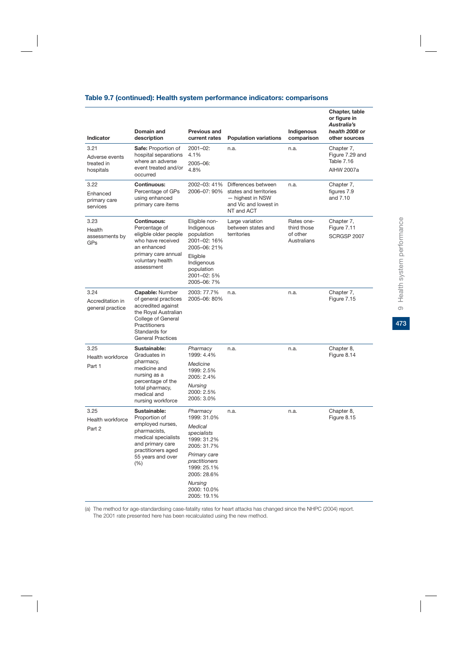|  |  |  |  |  |  | Table 9.7 (continued): Health system performance indicators: comparisons |
|--|--|--|--|--|--|--------------------------------------------------------------------------|
|--|--|--|--|--|--|--------------------------------------------------------------------------|

| Indicator                                         | Domain and<br>description                                                                                                                                                        | <b>Previous and</b><br>current rates                                                                  | <b>Population variations</b>                                                                             | Indigenous<br>comparison                             | Chapter, table<br>or figure in<br>Australia's<br>health 2008 or<br>other sources |
|---------------------------------------------------|----------------------------------------------------------------------------------------------------------------------------------------------------------------------------------|-------------------------------------------------------------------------------------------------------|----------------------------------------------------------------------------------------------------------|------------------------------------------------------|----------------------------------------------------------------------------------|
| 3.21<br>Adverse events<br>treated in<br>hospitals | <b>Safe: Proportion of</b><br>hospital separations<br>where an adverse<br>event treated and/or<br>occurred                                                                       | $2001 - 02$ :<br>4.1%<br>2005-06:<br>4.8%                                                             | n.a.                                                                                                     | n.a.                                                 | Chapter 7,<br>Figure 7.29 and<br>Table 7.16<br>AIHW 2007a                        |
| 3.22<br>Enhanced<br>primary care<br>services      | <b>Continuous:</b><br>Percentage of GPs<br>using enhanced<br>primary care items                                                                                                  | 2002-03: 41%<br>2006-07: 90%                                                                          | Differences between<br>states and territories<br>- highest in NSW<br>and Vic and lowest in<br>NT and ACT | n.a.                                                 | Chapter 7,<br>figures 7.9<br>and 7.10                                            |
| 3.23<br>Health<br>assessments by<br>GPs           | <b>Continuous:</b><br>Percentage of<br>eligible older people<br>who have received<br>an enhanced<br>primary care annual<br>voluntary health                                      | Eligible non-<br>Indigenous<br>population<br>2001-02: 16%<br>2005-06: 21%<br>Eligible                 | Large variation<br>between states and<br>territories                                                     | Rates one-<br>third those<br>of other<br>Australians | Chapter 7,<br>Figure 7.11<br>SCRGSP 2007                                         |
|                                                   | assessment                                                                                                                                                                       | Indigenous<br>population<br>2001-02: 5%<br>2005-06: 7%                                                |                                                                                                          |                                                      |                                                                                  |
| 3.24<br>Accreditation in<br>general practice      | <b>Capable: Number</b><br>of general practices<br>accredited against<br>the Royal Australian<br>College of General<br>Practitioners<br>Standards for<br><b>General Practices</b> | 2003: 77.7%<br>2005-06: 80%                                                                           | n.a.                                                                                                     | n.a.                                                 | Chapter 7,<br>Figure 7.15                                                        |
| 3.25<br>Health workforce<br>Part 1                | Sustainable:<br>Graduates in<br>pharmacy,<br>medicine and<br>nursing as a<br>percentage of the<br>total pharmacy,<br>medical and<br>nursing workforce                            | Pharmacy<br>1999: 4.4%<br>Medicine<br>1999: 2.5%<br>2005: 2.4%<br>Nursing<br>2000: 2.5%<br>2005: 3.0% | n.a.                                                                                                     | n.a.                                                 | Chapter 8,<br>Figure 8.14                                                        |
| 3.25<br>Health workforce<br>Part 2                | Sustainable:<br>Proportion of<br>employed nurses,<br>pharmacists,<br>medical specialists<br>and primary care<br>practitioners aged<br>55 years and over<br>$(\% )$               | Pharmacy<br>1999: 31.0%<br>Medical<br>specialists<br>1999: 31.2%<br>2005: 31.7%                       | n.a.                                                                                                     | n.a.                                                 | Chapter 8,<br>Figure 8.15                                                        |
|                                                   |                                                                                                                                                                                  | Primary care<br>practitioners<br>1999: 25.1%<br>2005: 28.6%                                           |                                                                                                          |                                                      |                                                                                  |
|                                                   |                                                                                                                                                                                  | Nursing<br>2000: 10.0%<br>2005: 19.1%                                                                 |                                                                                                          |                                                      |                                                                                  |

(a) The method for age-standardising case-fatality rates for heart attacks has changed since the NHPC (2004) report. The 2001 rate presented here has been recalculated using the new method.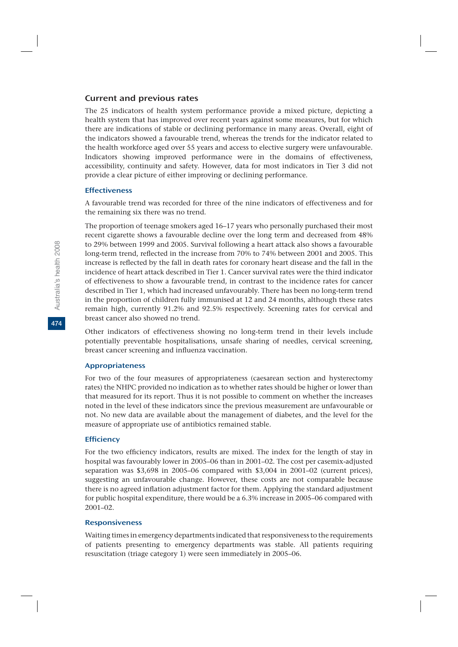#### Current and previous rates

The 25 indicators of health system performance provide a mixed picture, depicting a health system that has improved over recent years against some measures, but for which there are indications of stable or declining performance in many areas. Overall, eight of the indicators showed a favourable trend, whereas the trends for the indicator related to the health workforce aged over 55 years and access to elective surgery were unfavourable. Indicators showing improved performance were in the domains of effectiveness, accessibility, continuity and safety. However, data for most indicators in Tier 3 did not provide a clear picture of either improving or declining performance.

### **Effectiveness**

A favourable trend was recorded for three of the nine indicators of effectiveness and for the remaining six there was no trend.

The proportion of teenage smokers aged 16–17 years who personally purchased their most recent cigarette shows a favourable decline over the long term and decreased from 48% to 29% between 1999 and 2005. Survival following a heart attack also shows a favourable long-term trend, reflected in the increase from 70% to 74% between 2001 and 2005. This increase is reflected by the fall in death rates for coronary heart disease and the fall in the incidence of heart attack described in Tier 1. Cancer survival rates were the third indicator of effectiveness to show a favourable trend, in contrast to the incidence rates for cancer described in Tier 1, which had increased unfavourably. There has been no long-term trend in the proportion of children fully immunised at 12 and 24 months, although these rates remain high, currently 91.2% and 92.5% respectively. Screening rates for cervical and breast cancer also showed no trend.

Other indicators of effectiveness showing no long-term trend in their levels include potentially preventable hospitalisations, unsafe sharing of needles, cervical screening, breast cancer screening and influenza vaccination.

#### Appropriateness

For two of the four measures of appropriateness (caesarean section and hysterectomy rates) the NHPC provided no indication as to whether rates should be higher or lower than that measured for its report. Thus it is not possible to comment on whether the increases noted in the level of these indicators since the previous measurement are unfavourable or not. No new data are available about the management of diabetes, and the level for the measure of appropriate use of antibiotics remained stable.

#### **Efficiency**

For the two efficiency indicators, results are mixed. The index for the length of stay in hospital was favourably lower in 2005–06 than in 2001–02. The cost per casemix-adjusted separation was \$3,698 in 2005–06 compared with \$3,004 in 2001–02 (current prices), suggesting an unfavourable change. However, these costs are not comparable because there is no agreed inflation adjustment factor for them. Applying the standard adjustment for public hospital expenditure, there would be a 6.3% increase in 2005–06 compared with 2001–02.

#### Responsiveness

Waiting times in emergency departments indicated that responsiveness to the requirements of patients presenting to emergency departments was stable. All patients requiring resuscitation (triage category 1) were seen immediately in 2005–06.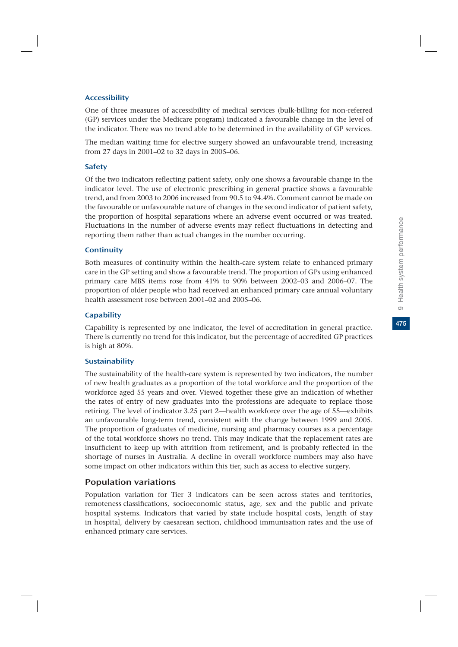#### Accessibility

One of three measures of accessibility of medical services (bulk-billing for non-referred (GP) services under the Medicare program) indicated a favourable change in the level of the indicator. There was no trend able to be determined in the availability of GP services.

The median waiting time for elective surgery showed an unfavourable trend, increasing from 27 days in 2001–02 to 32 days in 2005–06.

### **Safety**

Of the two indicators reflecting patient safety, only one shows a favourable change in the indicator level. The use of electronic prescribing in general practice shows a favourable trend, and from 2003 to 2006 increased from 90.5 to 94.4%. Comment cannot be made on the favourable or unfavourable nature of changes in the second indicator of patient safety, the proportion of hospital separations where an adverse event occurred or was treated. Fluctuations in the number of adverse events may reflect fluctuations in detecting and reporting them rather than actual changes in the number occurring.

#### **Continuity**

Both measures of continuity within the health-care system relate to enhanced primary care in the GP setting and show a favourable trend. The proportion of GPs using enhanced primary care MBS items rose from 41% to 90% between 2002–03 and 2006–07. The proportion of older people who had received an enhanced primary care annual voluntary health assessment rose between 2001–02 and 2005–06.

#### **Capability**

Capability is represented by one indicator, the level of accreditation in general practice. There is currently no trend for this indicator, but the percentage of accredited GP practices is high at 80%.

### Sustainability

The sustainability of the health-care system is represented by two indicators, the number of new health graduates as a proportion of the total workforce and the proportion of the workforce aged 55 years and over. Viewed together these give an indication of whether the rates of entry of new graduates into the professions are adequate to replace those retiring. The level of indicator 3.25 part 2—health workforce over the age of 55—exhibits an unfavourable long-term trend, consistent with the change between 1999 and 2005. The proportion of graduates of medicine, nursing and pharmacy courses as a percentage of the total workforce shows no trend. This may indicate that the replacement rates are insufficient to keep up with attrition from retirement, and is probably reflected in the shortage of nurses in Australia. A decline in overall workforce numbers may also have some impact on other indicators within this tier, such as access to elective surgery.

### Population variations

Population variation for Tier 3 indicators can be seen across states and territories, remoteness classifications, socioeconomic status, age, sex and the public and private hospital systems. Indicators that varied by state include hospital costs, length of stay in hospital, delivery by caesarean section, childhood immunisation rates and the use of enhanced primary care services.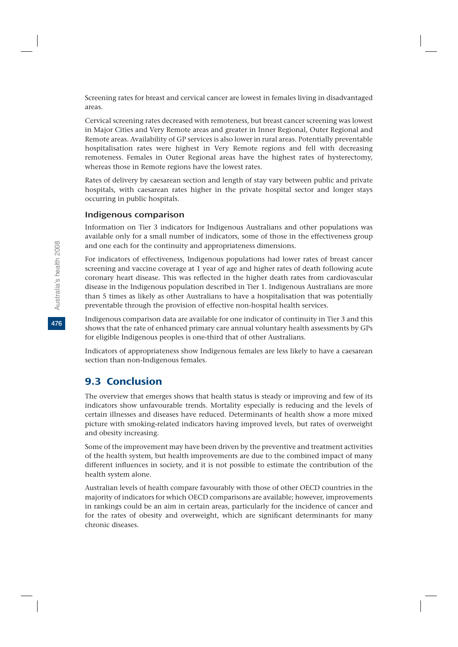Screening rates for breast and cervical cancer are lowest in females living in disadvantaged areas.

Cervical screening rates decreased with remoteness, but breast cancer screening was lowest in Major Cities and Very Remote areas and greater in Inner Regional, Outer Regional and Remote areas. Availability of GP services is also lower in rural areas. Potentially preventable hospitalisation rates were highest in Very Remote regions and fell with decreasing remoteness. Females in Outer Regional areas have the highest rates of hysterectomy, whereas those in Remote regions have the lowest rates.

Rates of delivery by caesarean section and length of stay vary between public and private hospitals, with caesarean rates higher in the private hospital sector and longer stays occurring in public hospitals.

### Indigenous comparison

Information on Tier 3 indicators for Indigenous Australians and other populations was available only for a small number of indicators, some of those in the effectiveness group and one each for the continuity and appropriateness dimensions.

For indicators of effectiveness, Indigenous populations had lower rates of breast cancer screening and vaccine coverage at 1 year of age and higher rates of death following acute coronary heart disease. This was reflected in the higher death rates from cardiovascular disease in the Indigenous population described in Tier 1. Indigenous Australians are more than 5 times as likely as other Australians to have a hospitalisation that was potentially preventable through the provision of effective non-hospital health services.

Indigenous comparison data are available for one indicator of continuity in Tier 3 and this shows that the rate of enhanced primary care annual voluntary health assessments by GPs for eligible Indigenous peoples is one-third that of other Australians.

Indicators of appropriateness show Indigenous females are less likely to have a caesarean section than non-Indigenous females.

# 9.3 Conclusion

The overview that emerges shows that health status is steady or improving and few of its indicators show unfavourable trends. Mortality especially is reducing and the levels of certain illnesses and diseases have reduced. Determinants of health show a more mixed picture with smoking-related indicators having improved levels, but rates of overweight and obesity increasing.

Some of the improvement may have been driven by the preventive and treatment activities of the health system, but health improvements are due to the combined impact of many different influences in society, and it is not possible to estimate the contribution of the health system alone.

Australian levels of health compare favourably with those of other OECD countries in the majority of indicators for which OECD comparisons are available; however, improvements in rankings could be an aim in certain areas, particularly for the incidence of cancer and for the rates of obesity and overweight, which are significant determinants for many chronic diseases.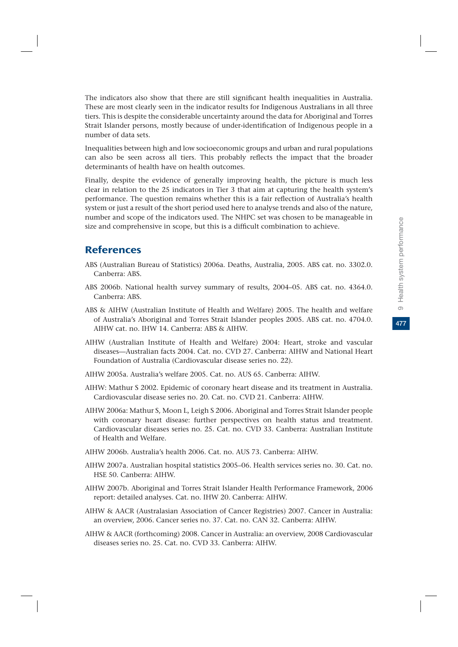477

The indicators also show that there are still significant health inequalities in Australia. These are most clearly seen in the indicator results for Indigenous Australians in all three tiers. This is despite the considerable uncertainty around the data for Aboriginal and Torres Strait Islander persons, mostly because of under-identification of Indigenous people in a number of data sets.

Inequalities between high and low socioeconomic groups and urban and rural populations can also be seen across all tiers. This probably reflects the impact that the broader determinants of health have on health outcomes.

Finally, despite the evidence of generally improving health, the picture is much less clear in relation to the 25 indicators in Tier 3 that aim at capturing the health system's performance. The question remains whether this is a fair reflection of Australia's health system or just a result of the short period used here to analyse trends and also of the nature, number and scope of the indicators used. The NHPC set was chosen to be manageable in size and comprehensive in scope, but this is a difficult combination to achieve.

# **References**

- ABS (Australian Bureau of Statistics) 2006a. Deaths, Australia, 2005. ABS cat. no. 3302.0. Canberra: ABS.
- ABS 2006b. National health survey summary of results, 2004–05. ABS cat. no. 4364.0. Canberra: ABS.
- ABS & AIHW (Australian Institute of Health and Welfare) 2005. The health and welfare of Australia's Aboriginal and Torres Strait Islander peoples 2005. ABS cat. no. 4704.0. AIHW cat. no. IHW 14. Canberra: ABS & AIHW.
- AIHW (Australian Institute of Health and Welfare) 2004: Heart, stroke and vascular diseases—Australian facts 2004. Cat. no. CVD 27. Canberra: AIHW and National Heart Foundation of Australia (Cardiovascular disease series no. 22).
- AIHW 2005a. Australia's welfare 2005. Cat. no. AUS 65. Canberra: AIHW.
- AIHW: Mathur S 2002. Epidemic of coronary heart disease and its treatment in Australia. Cardiovascular disease series no. 20. Cat. no. CVD 21. Canberra: AIHW.
- AIHW 2006a: Mathur S, Moon L, Leigh S 2006. Aboriginal and Torres Strait Islander people with coronary heart disease: further perspectives on health status and treatment. Cardiovascular diseases series no. 25. Cat. no. CVD 33. Canberra: Australian Institute of Health and Welfare.
- AIHW 2006b. Australia's health 2006. Cat. no. AUS 73. Canberra: AIHW.
- AIHW 2007a. Australian hospital statistics 2005–06. Health services series no. 30. Cat. no. HSE 50. Canberra: AIHW.
- AIHW 2007b. Aboriginal and Torres Strait Islander Health Performance Framework, 2006 report: detailed analyses. Cat. no. IHW 20. Canberra: AIHW.
- AIHW & AACR (Australasian Association of Cancer Registries) 2007. Cancer in Australia: an overview, 2006. Cancer series no. 37. Cat. no. CAN 32. Canberra: AIHW.
- AIHW & AACR (forthcoming) 2008. Cancer in Australia: an overview, 2008 Cardiovascular diseases series no. 25. Cat. no. CVD 33. Canberra: AIHW.